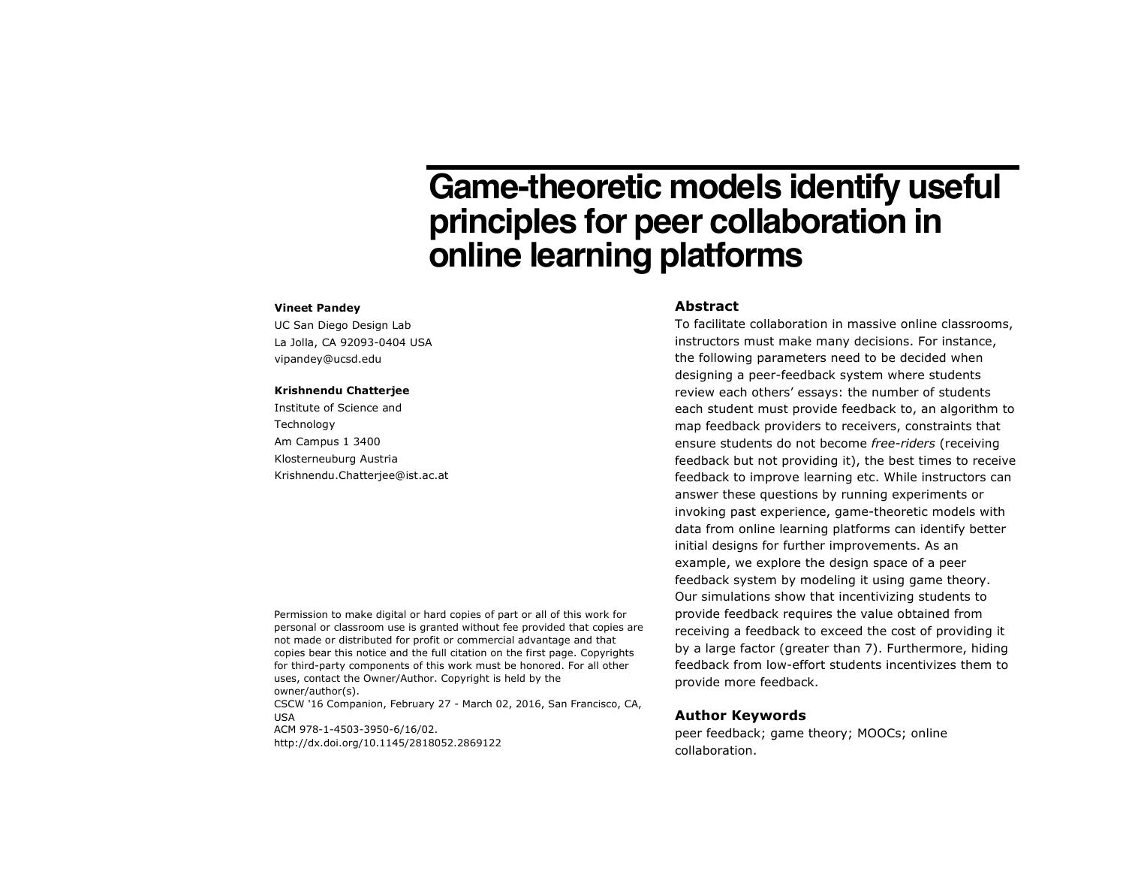# **Game-theoretic models identify useful principles for peer collaboration in online learning platforms**

#### **Vineet Pandey**

UC San Diego Design Lab La Jolla, CA 92093-0404 USA vipandey@ucsd.edu

#### **Krishnendu Chatterjee**

Institute of Science and **Technology** Am Campus 1 3400 Klosterneuburg Austria Krishnendu.Chatterjee@ist.ac.at

Permission to make digital or hard copies of part or all of this work for personal or classroom use is granted without fee provided that copies are not made or distributed for profit or commercial advantage and that copies bear this notice and the full citation on the first page. Copyrights for third-party components of this work must be honored. For all other uses, contact the Owner/Author. Copyright is held by the owner/author(s).

CSCW '16 Companion, February 27 - March 02, 2016, San Francisco, CA, USA

ACM 978-1-4503-3950-6/16/02. http://dx.doi.org/10.1145/2818052.2869122

## **Abstract**

To facilitate collaboration in massive online classrooms, instructors must make many decisions. For instance, the following parameters need to be decided when designing a peer-feedback system where students review each others' essays: the number of students each student must provide feedback to, an algorithm to map feedback providers to receivers, constraints that ensure students do not become *free-riders* (receiving feedback but not providing it), the best times to receive feedback to improve learning etc. While instructors can answer these questions by running experiments or invoking past experience, game-theoretic models with data from online learning platforms can identify better initial designs for further improvements. As an example, we explore the design space of a peer feedback system by modeling it using game theory. Our simulations show that incentivizing students to provide feedback requires the value obtained from receiving a feedback to exceed the cost of providing it by a large factor (greater than 7). Furthermore, hiding feedback from low-effort students incentivizes them to provide more feedback.

#### **Author Keywords**

peer feedback; game theory; MOOCs; online collaboration.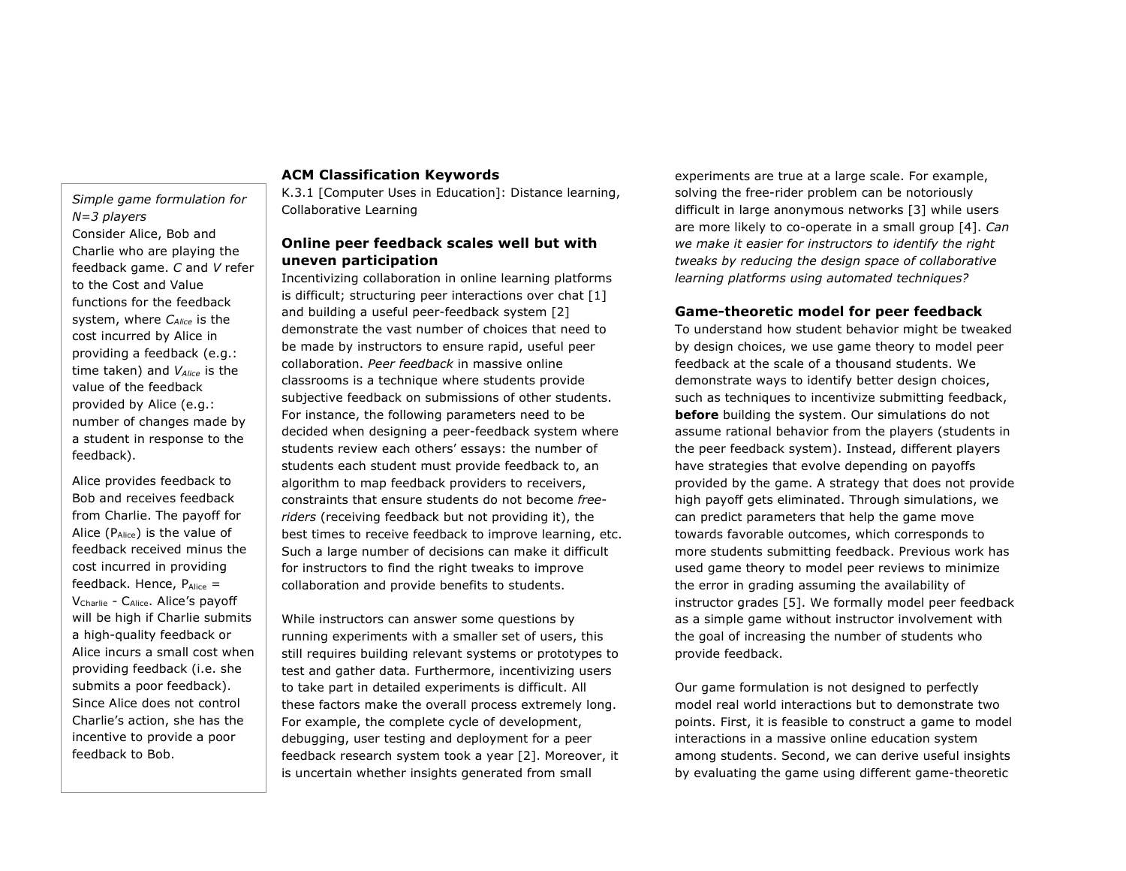*Simple game formulation for N=3 players* Consider Alice, Bob and Charlie who are playing the feedback game. *C* and *V* refer to the Cost and Value functions for the feedback system, where *CAlice* is the cost incurred by Alice in providing a feedback (e.g.: time taken) and *VAlice* is the value of the feedback provided by Alice (e.g.: number of changes made by a student in response to the feedback).

Alice provides feedback to Bob and receives feedback from Charlie. The payoff for Alice (PAlice) is the value of feedback received minus the cost incurred in providing feedback. Hence,  $P_{Alice}$  = V<sub>Charlie</sub> - C<sub>Alice</sub>. Alice's payoff will be high if Charlie submits a high-quality feedback or Alice incurs a small cost when providing feedback (i.e. she submits a poor feedback). Since Alice does not control Charlie's action, she has the incentive to provide a poor feedback to Bob.

# **ACM Classification Keywords**

K.3.1 [Computer Uses in Education]: Distance learning, Collaborative Learning

# **Online peer feedback scales well but with uneven participation**

Incentivizing collaboration in online learning platforms is difficult; structuring peer interactions over chat [1] and building a useful peer-feedback system [2] demonstrate the vast number of choices that need to be made by instructors to ensure rapid, useful peer collaboration. *Peer feedback* in massive online classrooms is a technique where students provide subjective feedback on submissions of other students. For instance, the following parameters need to be decided when designing a peer-feedback system where students review each others' essays: the number of students each student must provide feedback to, an algorithm to map feedback providers to receivers, constraints that ensure students do not become *freeriders* (receiving feedback but not providing it), the best times to receive feedback to improve learning, etc. Such a large number of decisions can make it difficult for instructors to find the right tweaks to improve collaboration and provide benefits to students.

While instructors can answer some questions by running experiments with a smaller set of users, this still requires building relevant systems or prototypes to test and gather data. Furthermore, incentivizing users to take part in detailed experiments is difficult. All these factors make the overall process extremely long. For example, the complete cycle of development, debugging, user testing and deployment for a peer feedback research system took a year [2]. Moreover, it is uncertain whether insights generated from small

experiments are true at a large scale. For example, solving the free-rider problem can be notoriously difficult in large anonymous networks [3] while users are more likely to co-operate in a small group [4]. *Can we make it easier for instructors to identify the right tweaks by reducing the design space of collaborative learning platforms using automated techniques?*

### **Game-theoretic model for peer feedback**

To understand how student behavior might be tweaked by design choices, we use game theory to model peer feedback at the scale of a thousand students. We demonstrate ways to identify better design choices, such as techniques to incentivize submitting feedback, **before** building the system. Our simulations do not assume rational behavior from the players (students in the peer feedback system). Instead, different players have strategies that evolve depending on payoffs provided by the game. A strategy that does not provide high payoff gets eliminated. Through simulations, we can predict parameters that help the game move towards favorable outcomes, which corresponds to more students submitting feedback. Previous work has used game theory to model peer reviews to minimize the error in grading assuming the availability of instructor grades [5]. We formally model peer feedback as a simple game without instructor involvement with the goal of increasing the number of students who provide feedback.

Our game formulation is not designed to perfectly model real world interactions but to demonstrate two points. First, it is feasible to construct a game to model interactions in a massive online education system among students. Second, we can derive useful insights by evaluating the game using different game-theoretic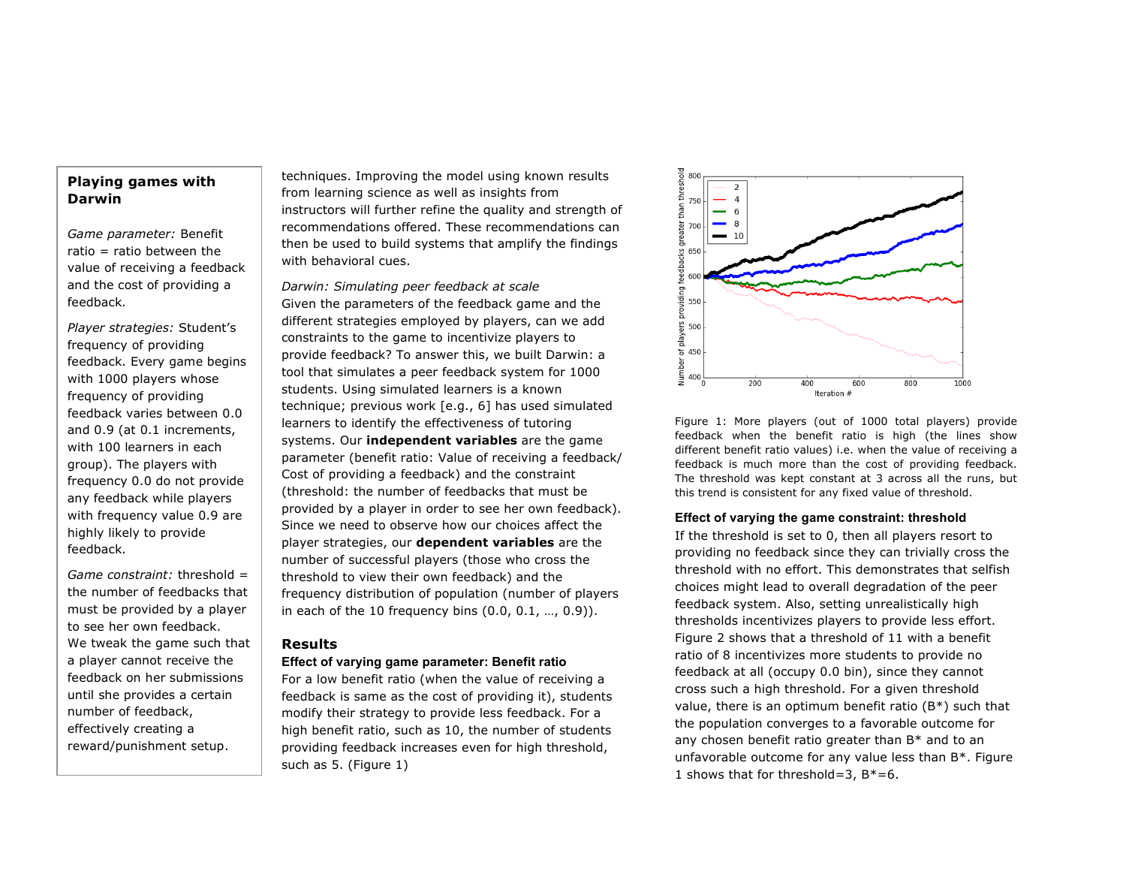# **Playing games with Darwin**

*Game parameter:* Benefit  $ratio = ratio between the$ value of receiving a feedback and the cost of providing a feedback.

*Player strategies:* Student's frequency of providing feedback. Every game begins with 1000 players whose frequency of providing feedback varies between 0.0 and 0.9 (at 0.1 increments, with 100 learners in each group). The players with frequency 0.0 do not provide any feedback while players with frequency value 0.9 are highly likely to provide feedback.

*Game constraint:* threshold = the number of feedbacks that must be provided by a player to see her own feedback. We tweak the game such that a player cannot receive the feedback on her submissions until she provides a certain number of feedback, effectively creating a reward/punishment setup.

techniques. Improving the model using known results from learning science as well as insights from instructors will further refine the quality and strength of recommendations offered. These recommendations can then be used to build systems that amplify the findings with behavioral cues.

*Darwin: Simulating peer feedback at scale* Given the parameters of the feedback game and the different strategies employed by players, can we add constraints to the game to incentivize players to provide feedback? To answer this, we built Darwin: a tool that simulates a peer feedback system for 1000 students. Using simulated learners is a known technique; previous work [e.g., 6] has used simulated learners to identify the effectiveness of tutoring systems. Our **independent variables** are the game parameter (benefit ratio: Value of receiving a feedback/ Cost of providing a feedback) and the constraint (threshold: the number of feedbacks that must be provided by a player in order to see her own feedback). Since we need to observe how our choices affect the player strategies, our **dependent variables** are the number of successful players (those who cross the threshold to view their own feedback) and the frequency distribution of population (number of players in each of the 10 frequency bins (0.0, 0.1, …, 0.9)).

# **Results**

#### **Effect of varying game parameter: Benefit ratio**

For a low benefit ratio (when the value of receiving a feedback is same as the cost of providing it), students modify their strategy to provide less feedback. For a high benefit ratio, such as 10, the number of students providing feedback increases even for high threshold, such as 5. (Figure 1)



Figure 1: More players (out of 1000 total players) provide feedback when the benefit ratio is high (the lines show different benefit ratio values) i.e. when the value of receiving a feedback is much more than the cost of providing feedback. The threshold was kept constant at 3 across all the runs, but this trend is consistent for any fixed value of threshold.

#### **Effect of varying the game constraint: threshold**

If the threshold is set to 0, then all players resort to providing no feedback since they can trivially cross the threshold with no effort. This demonstrates that selfish choices might lead to overall degradation of the peer feedback system. Also, setting unrealistically high thresholds incentivizes players to provide less effort. Figure 2 shows that a threshold of 11 with a benefit ratio of 8 incentivizes more students to provide no feedback at all (occupy 0.0 bin), since they cannot cross such a high threshold. For a given threshold value, there is an optimum benefit ratio (B\*) such that the population converges to a favorable outcome for any chosen benefit ratio greater than B\* and to an unfavorable outcome for any value less than B\*. Figure 1 shows that for threshold=3,  $B^* = 6$ .